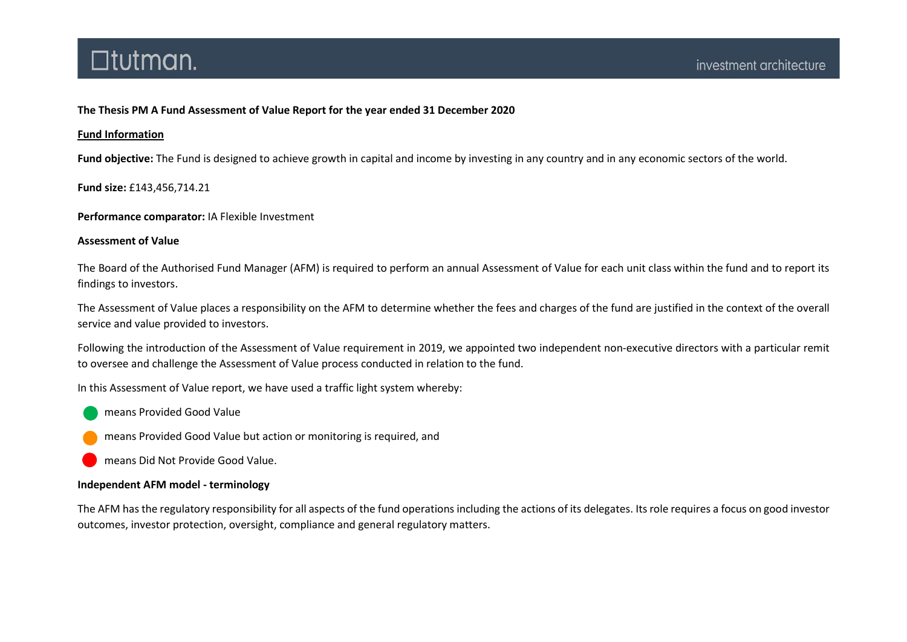### The Thesis PM A Fund Assessment of Value Report for the year ended 31 December 2020

### Fund Information

Fund objective: The Fund is designed to achieve growth in capital and income by investing in any country and in any economic sectors of the world.

Fund size: £143,456,714.21

Performance comparator: IA Flexible Investment

### Assessment of Value

The Board of the Authorised Fund Manager (AFM) is required to perform an annual Assessment of Value for each unit class within the fund and to report its findings to investors.

The Assessment of Value places a responsibility on the AFM to determine whether the fees and charges of the fund are justified in the context of the overall service and value provided to investors.

Following the introduction of the Assessment of Value requirement in 2019, we appointed two independent non-executive directors with a particular remit to oversee and challenge the Assessment of Value process conducted in relation to the fund.

In this Assessment of Value report, we have used a traffic light system whereby:

- means Provided Good Value
- means Provided Good Value but action or monitoring is required, and

means Did Not Provide Good Value.

### Independent AFM model - terminology

The AFM has the regulatory responsibility for all aspects of the fund operations including the actions of its delegates. Its role requires a focus on good investor outcomes, investor protection, oversight, compliance and general regulatory matters.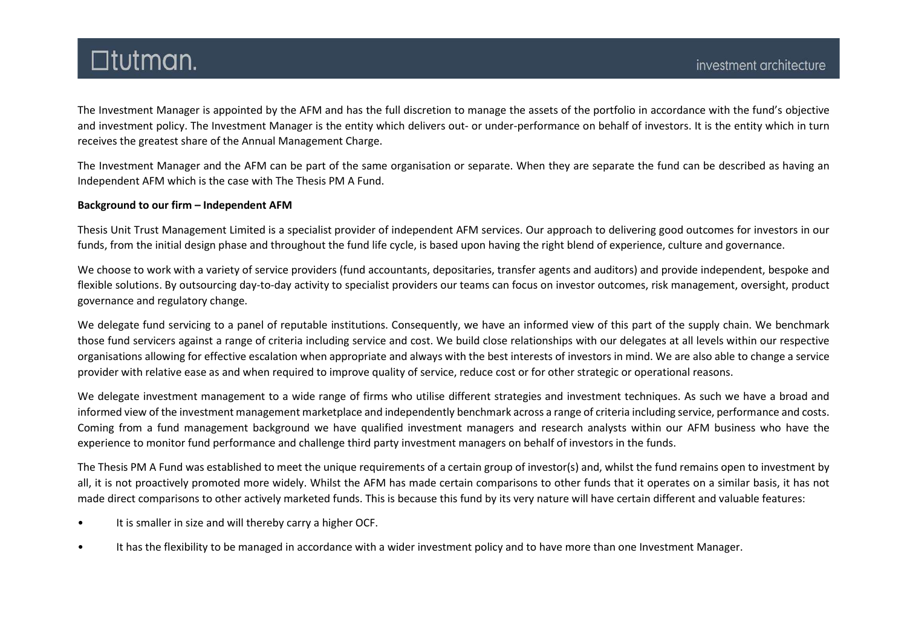The Investment Manager is appointed by the AFM and has the full discretion to manage the assets of the portfolio in accordance with the fund's objective and investment policy. The Investment Manager is the entity which delivers out- or under-performance on behalf of investors. It is the entity which in turn receives the greatest share of the Annual Management Charge.

The Investment Manager and the AFM can be part of the same organisation or separate. When they are separate the fund can be described as having an Independent AFM which is the case with The Thesis PM A Fund.

### Background to our firm – Independent AFM

Thesis Unit Trust Management Limited is a specialist provider of independent AFM services. Our approach to delivering good outcomes for investors in our funds, from the initial design phase and throughout the fund life cycle, is based upon having the right blend of experience, culture and governance.

We choose to work with a variety of service providers (fund accountants, depositaries, transfer agents and auditors) and provide independent, bespoke and flexible solutions. By outsourcing day-to-day activity to specialist providers our teams can focus on investor outcomes, risk management, oversight, product governance and regulatory change.

We delegate fund servicing to a panel of reputable institutions. Consequently, we have an informed view of this part of the supply chain. We benchmark those fund servicers against a range of criteria including service and cost. We build close relationships with our delegates at all levels within our respective organisations allowing for effective escalation when appropriate and always with the best interests of investors in mind. We are also able to change a service provider with relative ease as and when required to improve quality of service, reduce cost or for other strategic or operational reasons.

We delegate investment management to a wide range of firms who utilise different strategies and investment techniques. As such we have a broad and informed view of the investment management marketplace and independently benchmark across a range of criteria including service, performance and costs. Coming from a fund management background we have qualified investment managers and research analysts within our AFM business who have the experience to monitor fund performance and challenge third party investment managers on behalf of investors in the funds.

The Thesis PM A Fund was established to meet the unique requirements of a certain group of investor(s) and, whilst the fund remains open to investment by all, it is not proactively promoted more widely. Whilst the AFM has made certain comparisons to other funds that it operates on a similar basis, it has not made direct comparisons to other actively marketed funds. This is because this fund by its very nature will have certain different and valuable features:

- It is smaller in size and will thereby carry a higher OCF.
- It has the flexibility to be managed in accordance with a wider investment policy and to have more than one Investment Manager.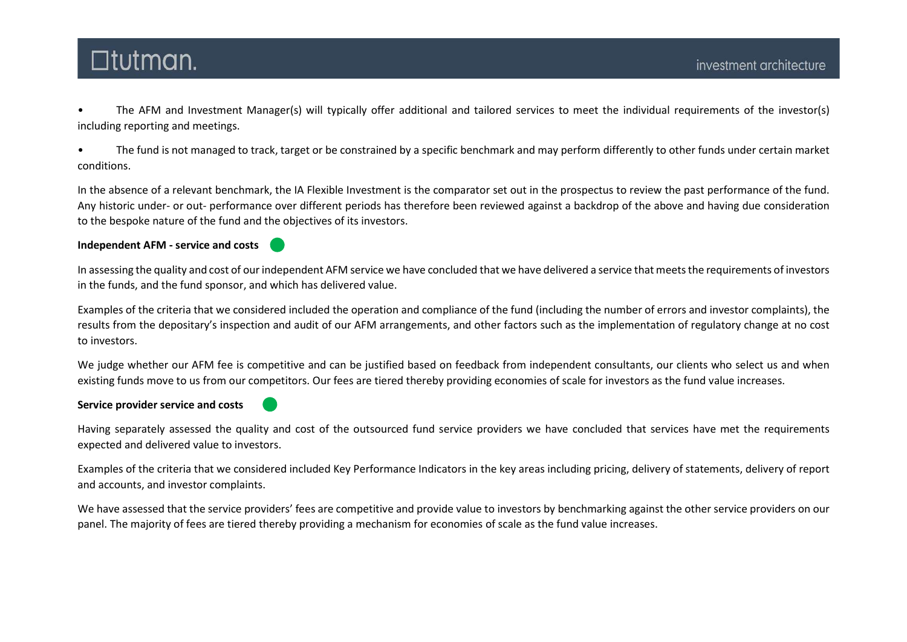• The AFM and Investment Manager(s) will typically offer additional and tailored services to meet the individual requirements of the investor(s) including reporting and meetings.

• The fund is not managed to track, target or be constrained by a specific benchmark and may perform differently to other funds under certain market conditions.

In the absence of a relevant benchmark, the IA Flexible Investment is the comparator set out in the prospectus to review the past performance of the fund. Any historic under- or out- performance over different periods has therefore been reviewed against a backdrop of the above and having due consideration to the bespoke nature of the fund and the objectives of its investors.

### Independent AFM - service and costs

In assessing the quality and cost of our independent AFM service we have concluded that we have delivered a service that meets the requirements of investors in the funds, and the fund sponsor, and which has delivered value.

Examples of the criteria that we considered included the operation and compliance of the fund (including the number of errors and investor complaints), the results from the depositary's inspection and audit of our AFM arrangements, and other factors such as the implementation of regulatory change at no cost to investors.

We judge whether our AFM fee is competitive and can be justified based on feedback from independent consultants, our clients who select us and when existing funds move to us from our competitors. Our fees are tiered thereby providing economies of scale for investors as the fund value increases.

### Service provider service and costs

Having separately assessed the quality and cost of the outsourced fund service providers we have concluded that services have met the requirements expected and delivered value to investors.

Examples of the criteria that we considered included Key Performance Indicators in the key areas including pricing, delivery of statements, delivery of report and accounts, and investor complaints.

We have assessed that the service providers' fees are competitive and provide value to investors by benchmarking against the other service providers on our panel. The majority of fees are tiered thereby providing a mechanism for economies of scale as the fund value increases.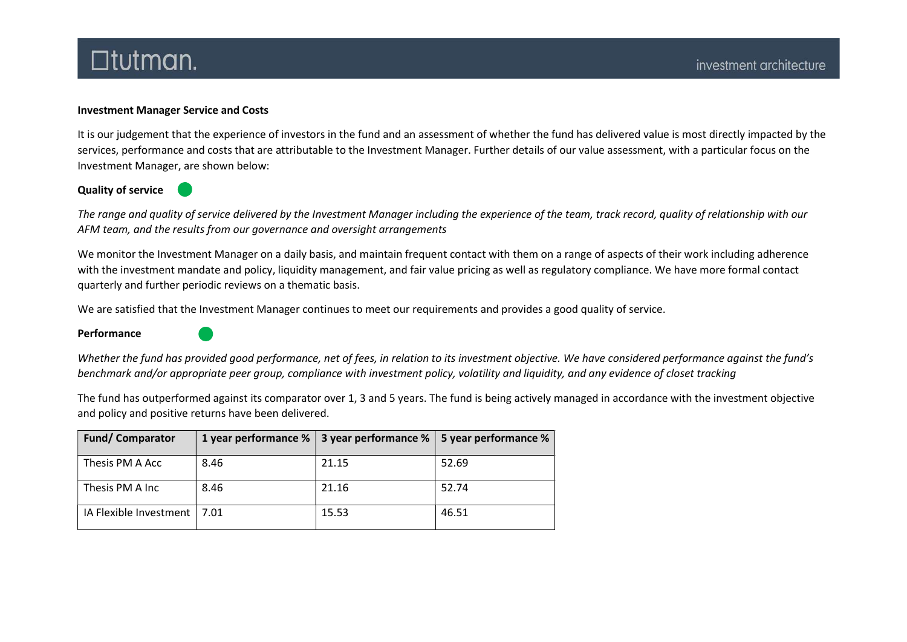### Investment Manager Service and Costs

It is our judgement that the experience of investors in the fund and an assessment of whether the fund has delivered value is most directly impacted by the services, performance and costs that are attributable to the Investment Manager. Further details of our value assessment, with a particular focus on the Investment Manager, are shown below:

### Quality of service

The range and quality of service delivered by the Investment Manager including the experience of the team, track record, quality of relationship with our AFM team, and the results from our governance and oversight arrangements

We monitor the Investment Manager on a daily basis, and maintain frequent contact with them on a range of aspects of their work including adherence with the investment mandate and policy, liquidity management, and fair value pricing as well as regulatory compliance. We have more formal contact quarterly and further periodic reviews on a thematic basis.

We are satisfied that the Investment Manager continues to meet our requirements and provides a good quality of service.

#### Performance



The fund has outperformed against its comparator over 1, 3 and 5 years. The fund is being actively managed in accordance with the investment objective and policy and positive returns have been delivered.

| <b>Fund/Comparator</b>        |      | 1 year performance $\%$   3 year performance $\%$ | 5 year performance % |
|-------------------------------|------|---------------------------------------------------|----------------------|
| Thesis PM A Acc               | 8.46 | 21.15                                             | 52.69                |
| Thesis PM A Inc               | 8.46 | 21.16                                             | 52.74                |
| IA Flexible Investment   7.01 |      | 15.53                                             | 46.51                |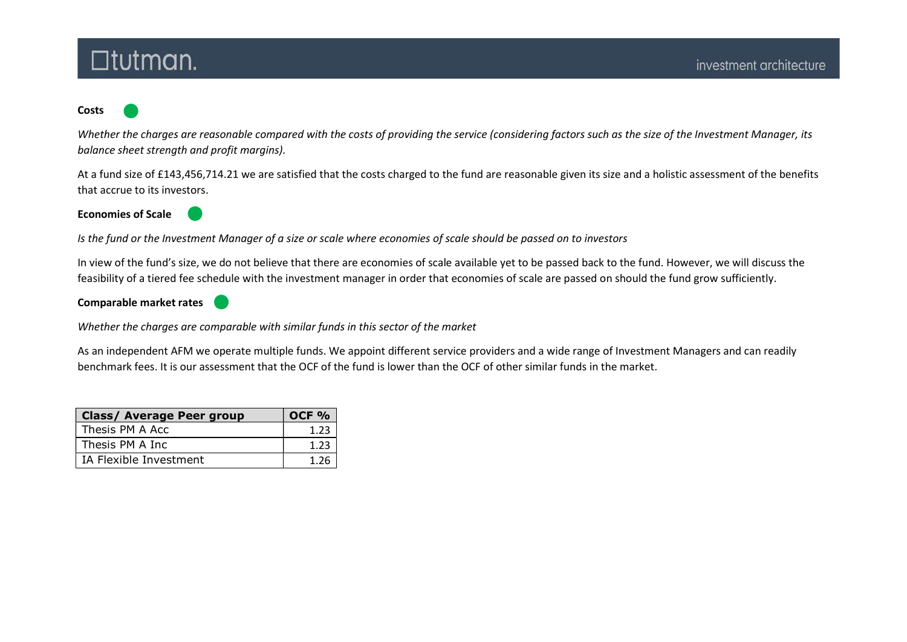### **Costs**

Whether the charges are reasonable compared with the costs of providing the service (considering factors such as the size of the Investment Manager, its balance sheet strength and profit margins).

At a fund size of £143,456,714.21 we are satisfied that the costs charged to the fund are reasonable given its size and a holistic assessment of the benefits that accrue to its investors.

Economies of Scale



Is the fund or the Investment Manager of a size or scale where economies of scale should be passed on to investors

In view of the fund's size, we do not believe that there are economies of scale available yet to be passed back to the fund. However, we will discuss the feasibility of a tiered fee schedule with the investment manager in order that economies of scale are passed on should the fund grow sufficiently.

Comparable market rates



Whether the charges are comparable with similar funds in this sector of the market

As an independent AFM we operate multiple funds. We appoint different service providers and a wide range of Investment Managers and can readily benchmark fees. It is our assessment that the OCF of the fund is lower than the OCF of other similar funds in the market.

| <b>Class/ Average Peer group</b> | <b>OCF %</b> |
|----------------------------------|--------------|
| Thesis PM A Acc                  | 1.23         |
| Thesis PM A Inc                  | 1.23         |
| IA Flexible Investment           | 1 26         |